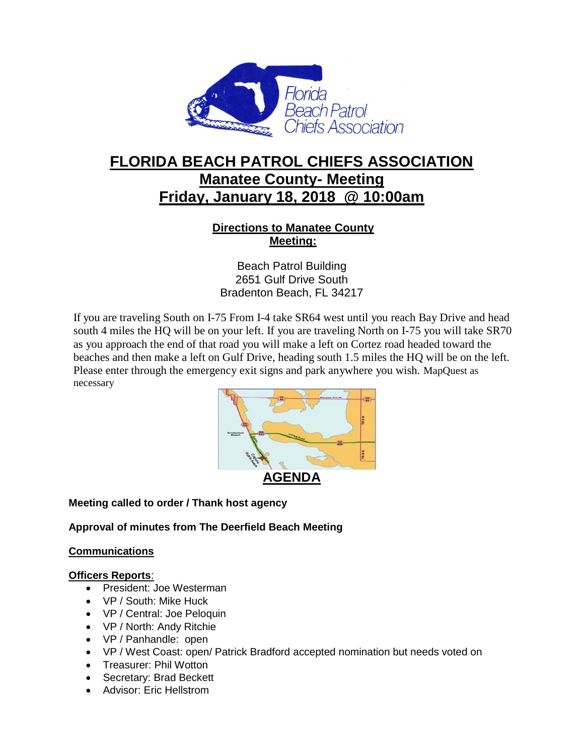

# **FLORIDA BEACH PATROL CHIEFS ASSOCIATION Manatee County- Meeting Friday, January 18, 2018 @ 10:00am**

# **Directions to Manatee County Meeting:**

Beach Patrol Building 2651 Gulf Drive South Bradenton Beach, FL 34217

If you are traveling South on I-75 From I-4 take SR64 west until you reach Bay Drive and head south 4 miles the HQ will be on your left. If you are traveling North on I-75 you will take SR70 as you approach the end of that road you will make a left on Cortez road headed toward the beaches and then make a left on Gulf Drive, heading south 1.5 miles the HQ will be on the left. Please enter through the emergency exit signs and park anywhere you wish. MapQuest as necessary



# **Meeting called to order / Thank host agency**

**Approval of minutes from The Deerfield Beach Meeting**

# **Communications**

#### **Officers Reports**:

- President: Joe Westerman
- VP / South: Mike Huck
- VP / Central: Joe Peloquin
- VP / North: Andy Ritchie
- VP / Panhandle: open
- VP / West Coast: open/ Patrick Bradford accepted nomination but needs voted on
- Treasurer: Phil Wotton
- Secretary: Brad Beckett
- Advisor: Eric Hellstrom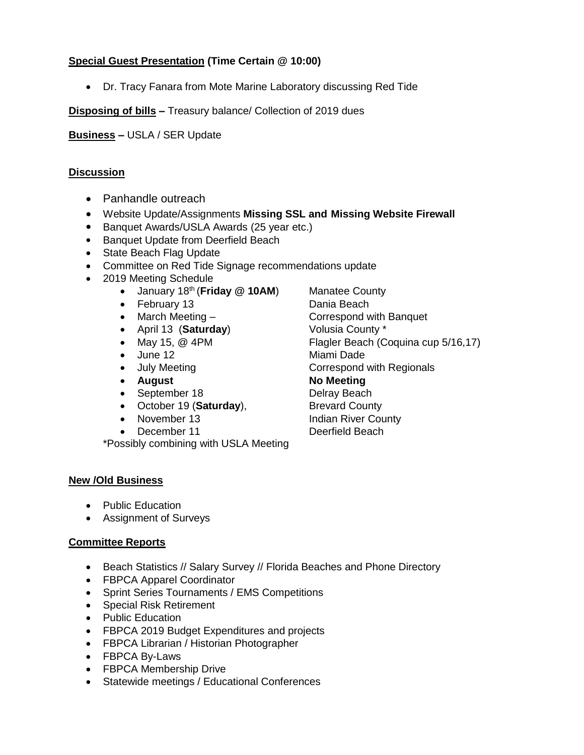# **Special Guest Presentation (Time Certain @ 10:00)**

Dr. Tracy Fanara from Mote Marine Laboratory discussing Red Tide

**Disposing of bills –** Treasury balance/ Collection of 2019 dues

**Business –** USLA / SER Update

## **Discussion**

- Panhandle outreach
- Website Update/Assignments **Missing SSL and Missing Website Firewall**
- Banquet Awards/USLA Awards (25 year etc.)
- Banquet Update from Deerfield Beach
- State Beach Flag Update
- Committee on Red Tide Signage recommendations update
- 2019 Meeting Schedule
	- January 18<sup>th</sup> (**Friday @ 10AM**) Manatee County
	- February 13 Dania Beach
	-
	- April 13 (Saturday) **Volusia County** \*
	-
	- June 12 Miami Dade
	-
	-
	- September 18 Delray Beach
	- October 19 (**Saturday**), Brevard County
	-
	- December 11 Deerfield Beach

\*Possibly combining with USLA Meeting

• March Meeting – Correspond with Banquet • May 15, @ 4PM Flagler Beach (Coquina cup 5/16,17) • July Meeting **Correspond with Regionals** • August **No Meeting** • November 13 Indian River County

#### **New /Old Business**

- Public Education
- Assignment of Surveys

#### **Committee Reports**

- Beach Statistics // Salary Survey // Florida Beaches and Phone Directory
- FBPCA Apparel Coordinator
- Sprint Series Tournaments / EMS Competitions
- Special Risk Retirement
- Public Education
- FBPCA 2019 Budget Expenditures and projects
- FBPCA Librarian / Historian Photographer
- FBPCA By-Laws
- FBPCA Membership Drive
- Statewide meetings / Educational Conferences